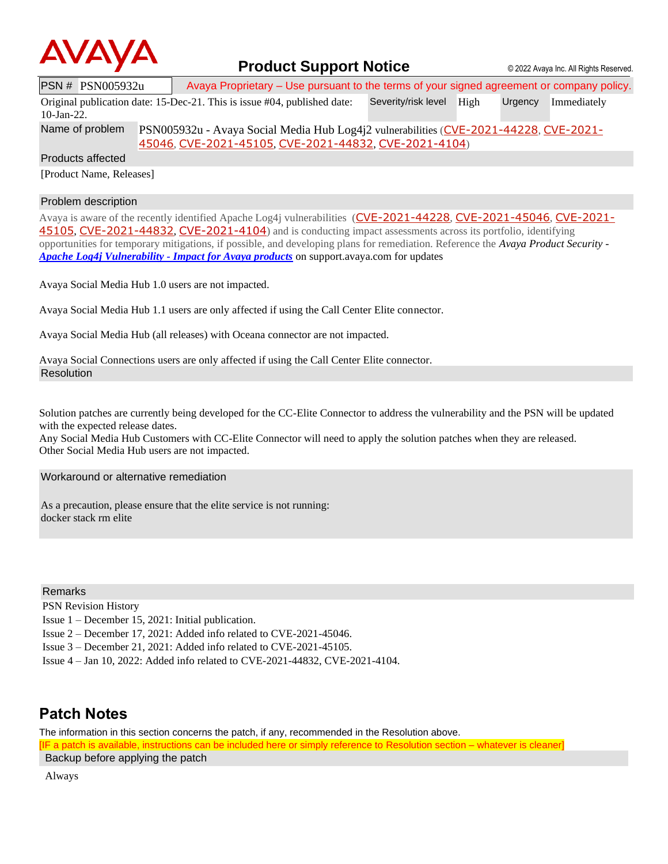

## **Product Support Notice**  $\circ$  2022 Avaya Inc. All Rights Reserved.

PSN # PSN005932u Avaya Proprietary – Use pursuant to the terms of your signed agreement or company policy. Original publication date: 15-Dec-21. This is issue #04, published date: 10-Jan-22. Severity/risk level High Urgency Immediately Name of problem PSN005932u - Avaya Social Media Hub Log4j2 vulnerabilities ([CVE-2021-44228](https://cve.mitre.org/cgi-bin/cvename.cgi?name=CVE-2021-44228), [CVE-2021-](https://cve.mitre.org/cgi-bin/cvename.cgi?name=CVE-2021-45046)

[45046](https://cve.mitre.org/cgi-bin/cvename.cgi?name=CVE-2021-45046), [CVE-2021-45105](https://cve.mitre.org/cgi-bin/cvename.cgi?name=CVE-2021-45105), [CVE-2021-44832](https://cve.mitre.org/cgi-bin/cvename.cgi?name=CVE-2021-44832), [CVE-2021-4104](https://cve.mitre.org/cgi-bin/cvename.cgi?name=CVE-2021-4104))

Products affected

[Product Name, Releases]

## Problem description

Avaya is aware of the recently identified Apache Log4j vulnerabilities ([CVE-2021-44228](https://cve.mitre.org/cgi-bin/cvename.cgi?name=CVE-2021-44228), [CVE-2021-45046](https://cve.mitre.org/cgi-bin/cvename.cgi?name=CVE-2021-45046), [CVE-2021-](https://cve.mitre.org/cgi-bin/cvename.cgi?name=CVE-2021-45105) [45105](https://cve.mitre.org/cgi-bin/cvename.cgi?name=CVE-2021-45105), [CVE-2021-44832](https://cve.mitre.org/cgi-bin/cvename.cgi?name=CVE-2021-44832), [CVE-2021-4104](https://cve.mitre.org/cgi-bin/cvename.cgi?name=CVE-2021-4104)) and is conducting impact assessments across its portfolio, identifying opportunities for temporary mitigations, if possible, and developing plans for remediation. Reference the *Avaya Product Security - Apache Log4j Vulnerability - [Impact for Avaya products](http://www.avaya.com/emergencyupdate)* on support.avaya.com for updates

Avaya Social Media Hub 1.0 users are not impacted.

Avaya Social Media Hub 1.1 users are only affected if using the Call Center Elite connector.

Avaya Social Media Hub (all releases) with Oceana connector are not impacted.

Avaya Social Connections users are only affected if using the Call Center Elite connector. Resolution

Solution patches are currently being developed for the CC-Elite Connector to address the vulnerability and the PSN will be updated with the expected release dates.

Any Social Media Hub Customers with CC-Elite Connector will need to apply the solution patches when they are released. Other Social Media Hub users are not impacted.

Workaround or alternative remediation

As a precaution, please ensure that the elite service is not running: docker stack rm elite

Remarks

PSN Revision History

Issue 1 – December 15, 2021: Initial publication.

Issue 2 – December 17, 2021: Added info related to CVE-2021-45046.

Issue 3 – December 21, 2021: Added info related to CVE-2021-45105.

Issue 4 – Jan 10, 2022: Added info related to CVE-2021-44832, CVE-2021-4104.

## **Patch Notes**

The information in this section concerns the patch, if any, recommended in the Resolution above. [IF a patch is available, instructions can be included here or simply reference to Resolution section – whatever is cleaner] Backup before applying the patch

Always